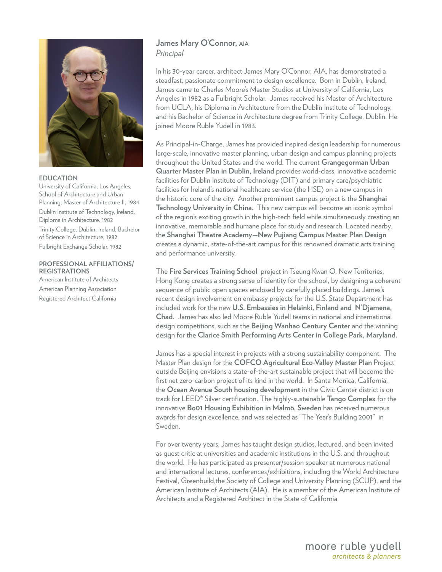

#### **EDUCATION**

University of California, Los Angeles, School of Architecture and Urban Planning, Master of Architecture II, 1984 Dublin Institute of Technology, Ireland, Diploma in Architecture, 1982 Trinity College, Dublin, Ireland, Bachelor of Science in Architecture, 1982 Fulbright Exchange Scholar, 1982

### **PROFESSIONAL AFFILIATIONS/ REGISTRATIONS**

American Institute of Architects American Planning Association Registered Architect California

# **James Mary O'Connor, AIA** *Principal*

In his 30-year career, architect James Mary O'Connor, AIA, has demonstrated a steadfast, passionate commitment to design excellence. Born in Dublin, Ireland, James came to Charles Moore's Master Studios at University of California, Los Angeles in 1982 as a Fulbright Scholar. James received his Master of Architecture from UCLA, his Diploma in Architecture from the Dublin Institute of Technology, and his Bachelor of Science in Architecture degree from Trinity College, Dublin. He joined Moore Ruble Yudell in 1983.

As Principal-in-Charge, James has provided inspired design leadership for numerous large-scale, innovative master planning, urban design and campus planning projects throughout the United States and the world. The current **Grangegorman Urban Quarter Master Plan in Dublin, Ireland** provides world-class, innovative academic facilities for Dublin Institute of Technology (DIT) and primary care/psychiatric facilities for Ireland's national healthcare service (the HSE) on a new campus in the historic core of the city. Another prominent campus project is the **Shanghai Technology University in China.** This new campus will become an iconic symbol of the region's exciting growth in the high-tech field while simultaneously creating an innovative, memorable and humane place for study and research. Located nearby, the **Shanghai Theatre Academy—New Pujiang Campus Master Plan Design** creates a dynamic, state-of-the-art campus for this renowned dramatic arts training and performance university.

The **Fire Services Training School** project in Tseung Kwan O, New Territories, Hong Kong creates a strong sense of identity for the school, by designing a coherent sequence of public open spaces enclosed by carefully placed buildings. James's recent design involvement on embassy projects for the U.S. State Department has included work for the new **U.S. Embassies in Helsinki, Finland and N'Djamena, Chad.** James has also led Moore Ruble Yudell teams in national and international design competitions, such as the **Beijing Wanhao Century Center** and the winning design for the **Clarice Smith Performing Arts Center in College Park, Maryland.**

James has a special interest in projects with a strong sustainability component. The Master Plan design for the **COFCO Agricultural Eco-Valley Master Plan** Project outside Beijing envisions a state-of-the-art sustainable project that will become the first net zero-carbon project of its kind in the world. In Santa Monica, California, the **Ocean Avenue South housing development** in the Civic Center district is on track for LEED® Silver certification. The highly-sustainable **Tango Complex** for the innovative **Bo01 Housing Exhibition in Malmö, Sweden** has received numerous awards for design excellence, and was selected as "The Year's Building 2001" in Sweden.

For over twenty years, James has taught design studios, lectured, and been invited as guest critic at universities and academic institutions in the U.S. and throughout the world. He has participated as presenter/session speaker at numerous national and international lectures, conferences/exhibitions, including the World Architecture Festival, Greenbuild,the Society of College and University Planning (SCUP), and the American Institute of Architects (AIA). He is a member of the American Institute of Architects and a Registered Architect in the State of California.